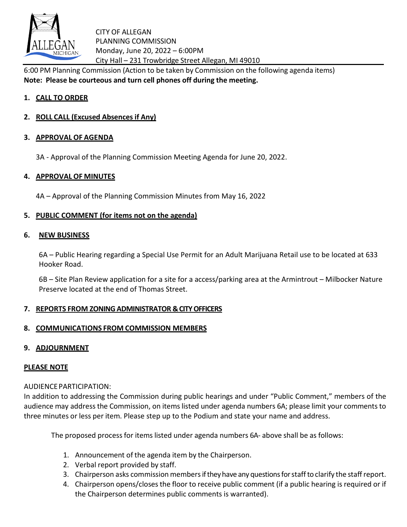

CITY OF ALLEGAN PLANNING COMMISSION Monday, June 20, 2022 – 6:00PM City Hall – 231 Trowbridge Street Allegan, MI 49010

6:00 PM Planning Commission (Action to be taken by Commission on the following agenda items) **Note: Please be courteous and turn cell phones off during the meeting.**

# **1. CALL TO ORDER**

**2. ROLL CALL (Excused Absences if Any)**

## **3. APPROVAL OF AGENDA**

3A - Approval of the Planning Commission Meeting Agenda for June 20, 2022.

## **4. APPROVAL OF MINUTES**

4A – Approval of the Planning Commission Minutes from May 16, 2022

## **5. PUBLIC COMMENT (for items not on the agenda)**

### **6. NEW BUSINESS**

6A – Public Hearing regarding a Special Use Permit for an Adult Marijuana Retail use to be located at 633 Hooker Road.

6B – Site Plan Review application for a site for a access/parking area at the Armintrout – Milbocker Nature Preserve located at the end of Thomas Street.

### **7. REPORTS FROM ZONING ADMINISTRATOR & CITY OFFICERS**

### **8. COMMUNICATIONS FROM COMMISSION MEMBERS**

# **9. ADJOURNMENT**

# **PLEASE NOTE**

### AUDIENCEPARTICIPATION:

In addition to addressing the Commission during public hearings and under "Public Comment," members of the audience may address the Commission, on items listed under agenda numbers 6A; please limit your comments to three minutes or less per item. Please step up to the Podium and state your name and address.

The proposed process for items listed under agenda numbers 6A- above shall be as follows:

- 1. Announcement of the agenda item by the Chairperson.
- 2. Verbal report provided by staff.
- 3. Chairperson asks commission membersif they have any questions for staffto clarify the staffreport.
- 4. Chairperson opens/closes the floor to receive public comment (if a public hearing is required or if the Chairperson determines public comments is warranted).